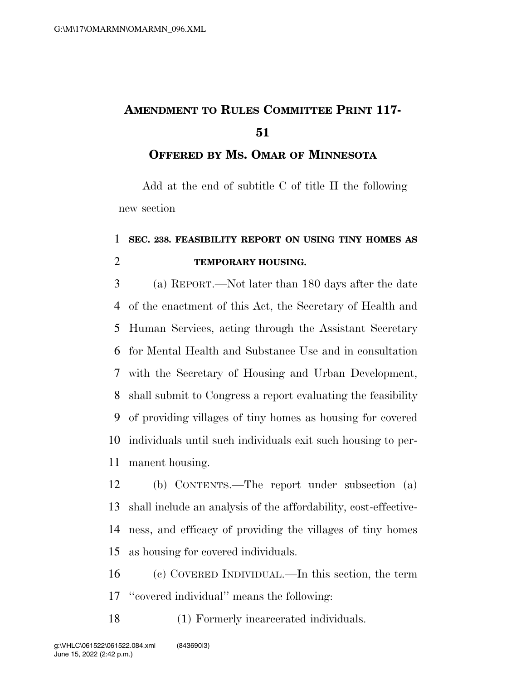## **AMENDMENT TO RULES COMMITTEE PRINT 117-**

## **OFFERED BY MS. OMAR OF MINNESOTA**

Add at the end of subtitle C of title II the following new section

## **SEC. 238. FEASIBILITY REPORT ON USING TINY HOMES AS TEMPORARY HOUSING.**

 (a) REPORT.—Not later than 180 days after the date of the enactment of this Act, the Secretary of Health and Human Services, acting through the Assistant Secretary for Mental Health and Substance Use and in consultation with the Secretary of Housing and Urban Development, shall submit to Congress a report evaluating the feasibility of providing villages of tiny homes as housing for covered individuals until such individuals exit such housing to per-manent housing.

 (b) CONTENTS.—The report under subsection (a) shall include an analysis of the affordability, cost-effective- ness, and efficacy of providing the villages of tiny homes as housing for covered individuals.

 (c) COVERED INDIVIDUAL.—In this section, the term ''covered individual'' means the following:

(1) Formerly incarcerated individuals.